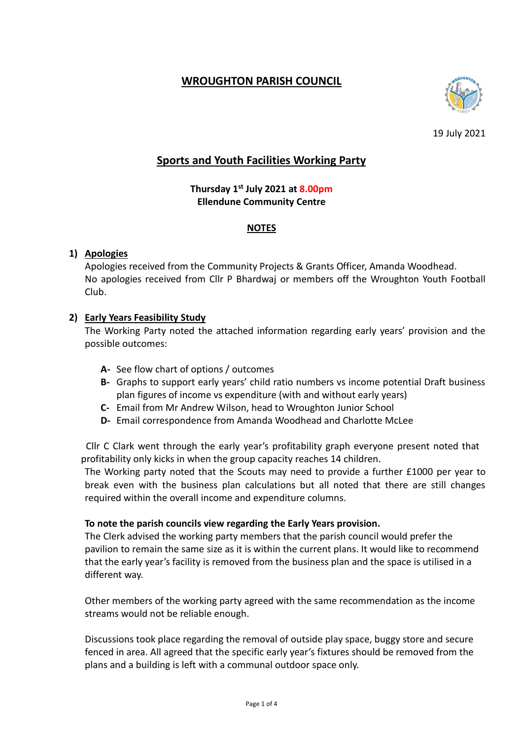# **WROUGHTON PARISH COUNCIL**



19 July 2021

# **Sports and Youth Facilities Working Party**

**Thursday 1 st July 2021 at 8.00pm Ellendune Community Centre**

### **NOTES**

## **1) Apologies**

Apologies received from the Community Projects & Grants Officer, Amanda Woodhead. No apologies received from Cllr P Bhardwaj or members off the Wroughton Youth Football Club.

## **2) Early Years Feasibility Study**

The Working Party noted the attached information regarding early years' provision and the possible outcomes:

- **A-** See flow chart of options / outcomes
- **B-** Graphs to support early years' child ratio numbers vs income potential Draft business plan figures of income vs expenditure (with and without early years)
- **C-** Email from Mr Andrew Wilson, head to Wroughton Junior School
- **D-** Email correspondence from Amanda Woodhead and Charlotte McLee

 Cllr C Clark went through the early year's profitability graph everyone present noted that profitability only kicks in when the group capacity reaches 14 children.

The Working party noted that the Scouts may need to provide a further £1000 per year to break even with the business plan calculations but all noted that there are still changes required within the overall income and expenditure columns.

#### **To note the parish councils view regarding the Early Years provision.**

The Clerk advised the working party members that the parish council would prefer the pavilion to remain the same size as it is within the current plans. It would like to recommend that the early year's facility is removed from the business plan and the space is utilised in a different way.

Other members of the working party agreed with the same recommendation as the income streams would not be reliable enough.

Discussions took place regarding the removal of outside play space, buggy store and secure fenced in area. All agreed that the specific early year's fixtures should be removed from the plans and a building is left with a communal outdoor space only.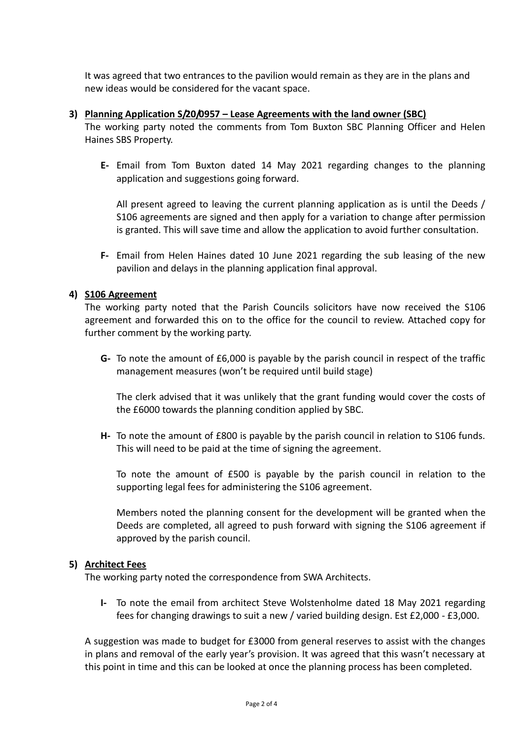It was agreed that two entrances to the pavilion would remain as they are in the plans and new ideas would be considered for the vacant space.

#### **3) Planning Application S/20/0957 – Lease Agreements with the land owner (SBC)**

The working party noted the comments from Tom Buxton SBC Planning Officer and Helen Haines SBS Property.

**E-** Email from Tom Buxton dated 14 May 2021 regarding changes to the planning application and suggestions going forward.

All present agreed to leaving the current planning application as is until the Deeds / S106 agreements are signed and then apply for a variation to change after permission is granted. This will save time and allow the application to avoid further consultation.

**F-** Email from Helen Haines dated 10 June 2021 regarding the sub leasing of the new pavilion and delays in the planning application final approval.

#### **4) S106 Agreement**

The working party noted that the Parish Councils solicitors have now received the S106 agreement and forwarded this on to the office for the council to review. Attached copy for further comment by the working party.

**G-** To note the amount of £6,000 is payable by the parish council in respect of the traffic management measures (won't be required until build stage)

The clerk advised that it was unlikely that the grant funding would cover the costs of the £6000 towards the planning condition applied by SBC.

**H-** To note the amount of £800 is payable by the parish council in relation to S106 funds. This will need to be paid at the time of signing the agreement.

To note the amount of £500 is payable by the parish council in relation to the supporting legal fees for administering the S106 agreement.

Members noted the planning consent for the development will be granted when the Deeds are completed, all agreed to push forward with signing the S106 agreement if approved by the parish council.

#### **5) Architect Fees**

The working party noted the correspondence from SWA Architects.

**I-** To note the email from architect Steve Wolstenholme dated 18 May 2021 regarding fees for changing drawings to suit a new / varied building design. Est £2,000 - £3,000.

A suggestion was made to budget for £3000 from general reserves to assist with the changes in plans and removal of the early year's provision. It was agreed that this wasn't necessary at this point in time and this can be looked at once the planning process has been completed.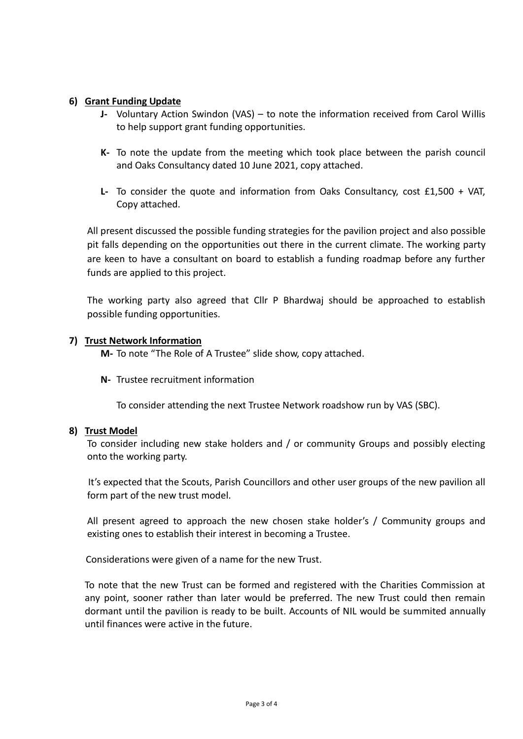### **6) Grant Funding Update**

- **J-** Voluntary Action Swindon (VAS) to note the information received from Carol Willis to help support grant funding opportunities.
- **K-** To note the update from the meeting which took place between the parish council and Oaks Consultancy dated 10 June 2021, copy attached.
- **L-** To consider the quote and information from Oaks Consultancy, cost £1,500 + VAT, Copy attached.

All present discussed the possible funding strategies for the pavilion project and also possible pit falls depending on the opportunities out there in the current climate. The working party are keen to have a consultant on board to establish a funding roadmap before any further funds are applied to this project.

The working party also agreed that Cllr P Bhardwaj should be approached to establish possible funding opportunities.

#### **7) Trust Network Information**

**M-** To note "The Role of A Trustee" slide show, copy attached.

**N-** Trustee recruitment information

To consider attending the next Trustee Network roadshow run by VAS (SBC).

#### **8) Trust Model**

To consider including new stake holders and / or community Groups and possibly electing onto the working party.

It's expected that the Scouts, Parish Councillors and other user groups of the new pavilion all form part of the new trust model.

All present agreed to approach the new chosen stake holder's / Community groups and existing ones to establish their interest in becoming a Trustee.

Considerations were given of a name for the new Trust.

To note that the new Trust can be formed and registered with the Charities Commission at any point, sooner rather than later would be preferred. The new Trust could then remain dormant until the pavilion is ready to be built. Accounts of NIL would be summited annually until finances were active in the future.